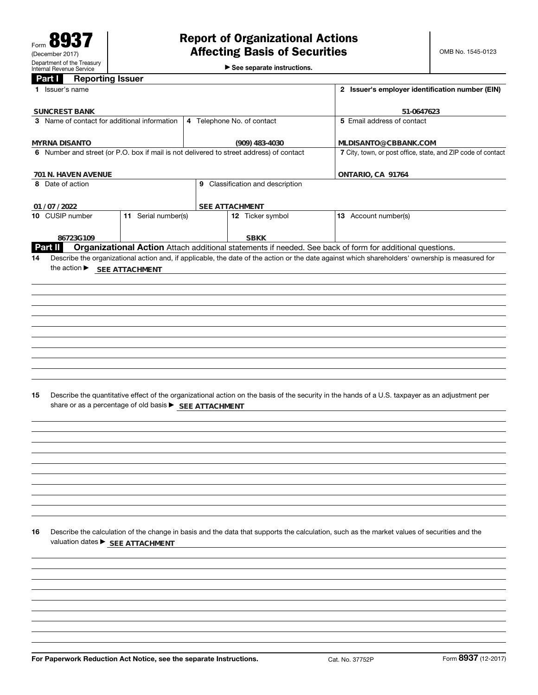See separate instructions.

## **Part I Reporting Issuer**

| <b>raill</b><br><b>Reporting issuer</b>                                                                   |                                                        |                                                 |                                  |                                                                                                                                                 |  |  |
|-----------------------------------------------------------------------------------------------------------|--------------------------------------------------------|-------------------------------------------------|----------------------------------|-------------------------------------------------------------------------------------------------------------------------------------------------|--|--|
| 1 Issuer's name                                                                                           |                                                        | 2 Issuer's employer identification number (EIN) |                                  |                                                                                                                                                 |  |  |
| <b>SUNCREST BANK</b>                                                                                      |                                                        |                                                 |                                  | 51-0647623                                                                                                                                      |  |  |
| 3 Name of contact for additional information<br>4 Telephone No. of contact                                |                                                        |                                                 |                                  | 5 Email address of contact                                                                                                                      |  |  |
| <b>MYRNA DISANTO</b>                                                                                      |                                                        | MLDISANTO@CBBANK.COM                            |                                  |                                                                                                                                                 |  |  |
| (909) 483-4030<br>6 Number and street (or P.O. box if mail is not delivered to street address) of contact |                                                        |                                                 |                                  | 7 City, town, or post office, state, and ZIP code of contact                                                                                    |  |  |
|                                                                                                           |                                                        |                                                 |                                  |                                                                                                                                                 |  |  |
| 701 N. HAVEN AVENUE<br>8 Date of action                                                                   |                                                        |                                                 | 9 Classification and description | ONTARIO, CA 91764                                                                                                                               |  |  |
|                                                                                                           |                                                        |                                                 |                                  |                                                                                                                                                 |  |  |
| 01 / 07 / 2022                                                                                            |                                                        |                                                 | SEE ATTACHMENT                   |                                                                                                                                                 |  |  |
| 10 CUSIP number                                                                                           | 11 Serial number(s)                                    |                                                 | 12 Ticker symbol                 | 13 Account number(s)                                                                                                                            |  |  |
| 86723G109                                                                                                 |                                                        |                                                 | <b>SBKK</b>                      |                                                                                                                                                 |  |  |
| Part II                                                                                                   |                                                        |                                                 |                                  | Organizational Action Attach additional statements if needed. See back of form for additional questions.                                        |  |  |
| 14                                                                                                        |                                                        |                                                 |                                  | Describe the organizational action and, if applicable, the date of the action or the date against which shareholders' ownership is measured for |  |  |
| the action $\blacktriangleright$                                                                          | SEE ATTACHMENT                                         |                                                 |                                  |                                                                                                                                                 |  |  |
|                                                                                                           |                                                        |                                                 |                                  |                                                                                                                                                 |  |  |
|                                                                                                           |                                                        |                                                 |                                  |                                                                                                                                                 |  |  |
|                                                                                                           |                                                        |                                                 |                                  |                                                                                                                                                 |  |  |
|                                                                                                           |                                                        |                                                 |                                  |                                                                                                                                                 |  |  |
|                                                                                                           |                                                        |                                                 |                                  |                                                                                                                                                 |  |  |
|                                                                                                           |                                                        |                                                 |                                  |                                                                                                                                                 |  |  |
|                                                                                                           |                                                        |                                                 |                                  |                                                                                                                                                 |  |  |
|                                                                                                           |                                                        |                                                 |                                  |                                                                                                                                                 |  |  |
|                                                                                                           |                                                        |                                                 |                                  |                                                                                                                                                 |  |  |
|                                                                                                           |                                                        |                                                 |                                  |                                                                                                                                                 |  |  |
| 15                                                                                                        | share or as a percentage of old basis > SEE ATTACHMENT |                                                 |                                  | Describe the quantitative effect of the organizational action on the basis of the security in the hands of a U.S. taxpayer as an adjustment per |  |  |
|                                                                                                           |                                                        |                                                 |                                  |                                                                                                                                                 |  |  |
|                                                                                                           |                                                        |                                                 |                                  |                                                                                                                                                 |  |  |
|                                                                                                           |                                                        |                                                 |                                  |                                                                                                                                                 |  |  |
|                                                                                                           |                                                        |                                                 |                                  |                                                                                                                                                 |  |  |
|                                                                                                           |                                                        |                                                 |                                  |                                                                                                                                                 |  |  |
|                                                                                                           |                                                        |                                                 |                                  |                                                                                                                                                 |  |  |
|                                                                                                           |                                                        |                                                 |                                  |                                                                                                                                                 |  |  |
|                                                                                                           |                                                        |                                                 |                                  |                                                                                                                                                 |  |  |
|                                                                                                           |                                                        |                                                 |                                  |                                                                                                                                                 |  |  |
|                                                                                                           |                                                        |                                                 |                                  |                                                                                                                                                 |  |  |
| 16                                                                                                        | valuation dates ▶ SEE ATTACHMENT                       |                                                 |                                  | Describe the calculation of the change in basis and the data that supports the calculation, such as the market values of securities and the     |  |  |
|                                                                                                           |                                                        |                                                 |                                  |                                                                                                                                                 |  |  |
|                                                                                                           |                                                        |                                                 |                                  |                                                                                                                                                 |  |  |
|                                                                                                           |                                                        |                                                 |                                  |                                                                                                                                                 |  |  |
|                                                                                                           |                                                        |                                                 |                                  |                                                                                                                                                 |  |  |
|                                                                                                           |                                                        |                                                 |                                  |                                                                                                                                                 |  |  |
|                                                                                                           |                                                        |                                                 |                                  |                                                                                                                                                 |  |  |
|                                                                                                           |                                                        |                                                 |                                  |                                                                                                                                                 |  |  |
|                                                                                                           |                                                        |                                                 |                                  |                                                                                                                                                 |  |  |
|                                                                                                           |                                                        |                                                 |                                  |                                                                                                                                                 |  |  |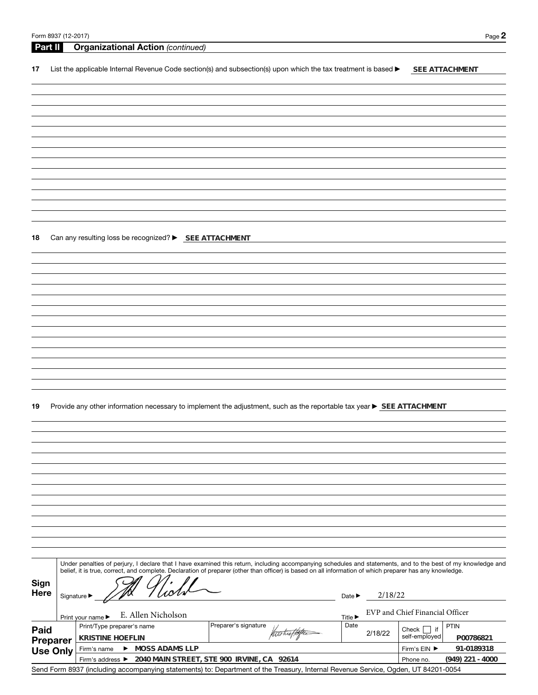| Form 8937 (12-2017) | Page $\blacktriangle$ |
|---------------------|-----------------------|
|---------------------|-----------------------|

| Part II |                 | <b>Organizational Action (continued)</b>                                                                                                                                                                                                                                                                                 |                                       |                                 |
|---------|-----------------|--------------------------------------------------------------------------------------------------------------------------------------------------------------------------------------------------------------------------------------------------------------------------------------------------------------------------|---------------------------------------|---------------------------------|
| 17      |                 | List the applicable Internal Revenue Code section(s) and subsection(s) upon which the tax treatment is based ▶                                                                                                                                                                                                           |                                       | SEE ATTACHMENT                  |
|         |                 |                                                                                                                                                                                                                                                                                                                          |                                       |                                 |
|         |                 |                                                                                                                                                                                                                                                                                                                          |                                       |                                 |
|         |                 |                                                                                                                                                                                                                                                                                                                          |                                       |                                 |
|         |                 |                                                                                                                                                                                                                                                                                                                          |                                       |                                 |
|         |                 |                                                                                                                                                                                                                                                                                                                          |                                       |                                 |
|         |                 |                                                                                                                                                                                                                                                                                                                          |                                       |                                 |
|         |                 |                                                                                                                                                                                                                                                                                                                          |                                       |                                 |
|         |                 |                                                                                                                                                                                                                                                                                                                          |                                       |                                 |
|         |                 |                                                                                                                                                                                                                                                                                                                          |                                       |                                 |
|         |                 |                                                                                                                                                                                                                                                                                                                          |                                       |                                 |
|         |                 |                                                                                                                                                                                                                                                                                                                          |                                       |                                 |
|         |                 |                                                                                                                                                                                                                                                                                                                          |                                       |                                 |
| 18      |                 | Can any resulting loss be recognized? ▶ SEE ATTACHMENT                                                                                                                                                                                                                                                                   |                                       |                                 |
|         |                 |                                                                                                                                                                                                                                                                                                                          |                                       |                                 |
|         |                 |                                                                                                                                                                                                                                                                                                                          |                                       |                                 |
|         |                 |                                                                                                                                                                                                                                                                                                                          |                                       |                                 |
|         |                 |                                                                                                                                                                                                                                                                                                                          |                                       |                                 |
|         |                 |                                                                                                                                                                                                                                                                                                                          |                                       |                                 |
|         |                 |                                                                                                                                                                                                                                                                                                                          |                                       |                                 |
|         |                 |                                                                                                                                                                                                                                                                                                                          |                                       |                                 |
|         |                 |                                                                                                                                                                                                                                                                                                                          |                                       |                                 |
|         |                 |                                                                                                                                                                                                                                                                                                                          |                                       |                                 |
|         |                 |                                                                                                                                                                                                                                                                                                                          |                                       |                                 |
|         |                 |                                                                                                                                                                                                                                                                                                                          |                                       |                                 |
|         |                 |                                                                                                                                                                                                                                                                                                                          |                                       |                                 |
|         |                 |                                                                                                                                                                                                                                                                                                                          |                                       |                                 |
| 19      |                 | Provide any other information necessary to implement the adjustment, such as the reportable tax year ▶ SEE ATTACHMENT                                                                                                                                                                                                    |                                       |                                 |
|         |                 |                                                                                                                                                                                                                                                                                                                          |                                       |                                 |
|         |                 |                                                                                                                                                                                                                                                                                                                          |                                       |                                 |
|         |                 |                                                                                                                                                                                                                                                                                                                          |                                       |                                 |
|         |                 |                                                                                                                                                                                                                                                                                                                          |                                       |                                 |
|         |                 |                                                                                                                                                                                                                                                                                                                          |                                       |                                 |
|         |                 |                                                                                                                                                                                                                                                                                                                          |                                       |                                 |
|         |                 |                                                                                                                                                                                                                                                                                                                          |                                       |                                 |
|         |                 |                                                                                                                                                                                                                                                                                                                          |                                       |                                 |
|         |                 |                                                                                                                                                                                                                                                                                                                          |                                       |                                 |
|         |                 |                                                                                                                                                                                                                                                                                                                          |                                       |                                 |
|         |                 |                                                                                                                                                                                                                                                                                                                          |                                       |                                 |
|         |                 |                                                                                                                                                                                                                                                                                                                          |                                       |                                 |
|         |                 |                                                                                                                                                                                                                                                                                                                          |                                       |                                 |
|         |                 | Under penalties of perjury, I declare that I have examined this return, including accompanying schedules and statements, and to the best of my knowledge and<br>belief, it is true, correct, and complete. Declaration of preparer (other than officer) is based on all information of which preparer has any knowledge. |                                       |                                 |
| Sign    |                 |                                                                                                                                                                                                                                                                                                                          |                                       |                                 |
| Here    |                 | Signature $\blacktriangleright$                                                                                                                                                                                                                                                                                          | 2/18/22<br>Date $\blacktriangleright$ |                                 |
|         |                 |                                                                                                                                                                                                                                                                                                                          |                                       |                                 |
|         |                 | E. Allen Nicholson<br>Print your name ▶                                                                                                                                                                                                                                                                                  | <b>Title ▶</b>                        | EVP and Chief Financial Officer |
| Paid    |                 | Preparer's signature<br>Print/Type preparer's name                                                                                                                                                                                                                                                                       | Date                                  | <b>PTIN</b><br>if<br>Check      |
|         | Preparer        | noticeffotte<br><b>KRISTINE HOEFLIN</b>                                                                                                                                                                                                                                                                                  | 2/18/22                               | self-employed<br>P00786821      |
|         | <b>Use Only</b> | MOSS ADAMS LLP<br>Firm's name                                                                                                                                                                                                                                                                                            |                                       | 91-0189318<br>Firm's EIN ▶      |
|         |                 | 2040 MAIN STREET, STE 900 IRVINE, CA 92614<br>Firm's address ▶                                                                                                                                                                                                                                                           |                                       | $(949)$ 221 - 4000<br>Phone no. |

Send Form 8937 (including accompanying statements) to: Department of the Treasury, Internal Revenue Service, Ogden, UT 84201-0054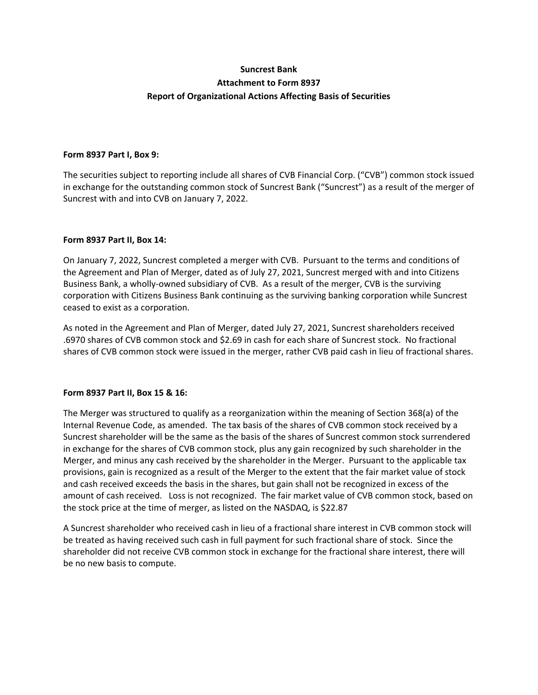# **Suncrest Bank Attachment to Form 8937 Report of Organizational Actions Affecting Basis of Securities**

## **Form 8937 Part I, Box 9:**

The securities subject to reporting include all shares of CVB Financial Corp. ("CVB") common stock issued in exchange for the outstanding common stock of Suncrest Bank ("Suncrest") as a result of the merger of Suncrest with and into CVB on January 7, 2022.

## **Form 8937 Part II, Box 14:**

On January 7, 2022, Suncrest completed a merger with CVB. Pursuant to the terms and conditions of the Agreement and Plan of Merger, dated as of July 27, 2021, Suncrest merged with and into Citizens Business Bank, a wholly‐owned subsidiary of CVB. As a result of the merger, CVB is the surviving corporation with Citizens Business Bank continuing as the surviving banking corporation while Suncrest ceased to exist as a corporation.

As noted in the Agreement and Plan of Merger, dated July 27, 2021, Suncrest shareholders received .6970 shares of CVB common stock and \$2.69 in cash for each share of Suncrest stock. No fractional shares of CVB common stock were issued in the merger, rather CVB paid cash in lieu of fractional shares.

## **Form 8937 Part II, Box 15 & 16:**

The Merger was structured to qualify as a reorganization within the meaning of Section 368(a) of the Internal Revenue Code, as amended. The tax basis of the shares of CVB common stock received by a Suncrest shareholder will be the same as the basis of the shares of Suncrest common stock surrendered in exchange for the shares of CVB common stock, plus any gain recognized by such shareholder in the Merger, and minus any cash received by the shareholder in the Merger. Pursuant to the applicable tax provisions, gain is recognized as a result of the Merger to the extent that the fair market value of stock and cash received exceeds the basis in the shares, but gain shall not be recognized in excess of the amount of cash received. Loss is not recognized. The fair market value of CVB common stock, based on the stock price at the time of merger, as listed on the NASDAQ, is \$22.87

A Suncrest shareholder who received cash in lieu of a fractional share interest in CVB common stock will be treated as having received such cash in full payment for such fractional share of stock. Since the shareholder did not receive CVB common stock in exchange for the fractional share interest, there will be no new basis to compute.